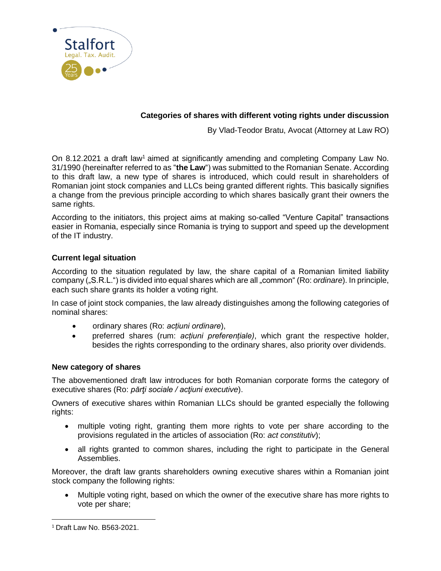

# **Categories of shares with different voting rights under discussion**

By Vlad-Teodor Bratu, Avocat (Attorney at Law RO)

On 8.12.2021 a draft law<sup>1</sup> aimed at significantly amending and completing Company Law No. 31/1990 (hereinafter referred to as "**the Law**") was submitted to the Romanian Senate. According to this draft law, a new type of shares is introduced, which could result in shareholders of Romanian joint stock companies and LLCs being granted different rights. This basically signifies a change from the previous principle according to which shares basically grant their owners the same rights.

According to the initiators, this project aims at making so-called "Venture Capital" transactions easier in Romania, especially since Romania is trying to support and speed up the development of the IT industry.

# **Current legal situation**

According to the situation regulated by law, the share capital of a Romanian limited liability company ("S.R.L.") is divided into equal shares which are all "common" (Ro: *ordinare*). In principle, each such share grants its holder a voting right.

In case of joint stock companies, the law already distinguishes among the following categories of nominal shares:

- ordinary shares (Ro: *acțiuni ordinare*),
- preferred shares (rum: *acțiuni preferențiale)*, which grant the respective holder, besides the rights corresponding to the ordinary shares, also priority over dividends.

# **New category of shares**

The abovementioned draft law introduces for both Romanian corporate forms the category of executive shares (Ro: *părţi sociale / acţiuni executive*).

Owners of executive shares within Romanian LLCs should be granted especially the following rights:

- multiple voting right, granting them more rights to vote per share according to the provisions regulated in the articles of association (Ro: *act constitutiv*);
- all rights granted to common shares, including the right to participate in the General Assemblies.

Moreover, the draft law grants shareholders owning executive shares within a Romanian joint stock company the following rights:

• Multiple voting right, based on which the owner of the executive share has more rights to vote per share;

<sup>1</sup> Draft Law No. B563-2021.